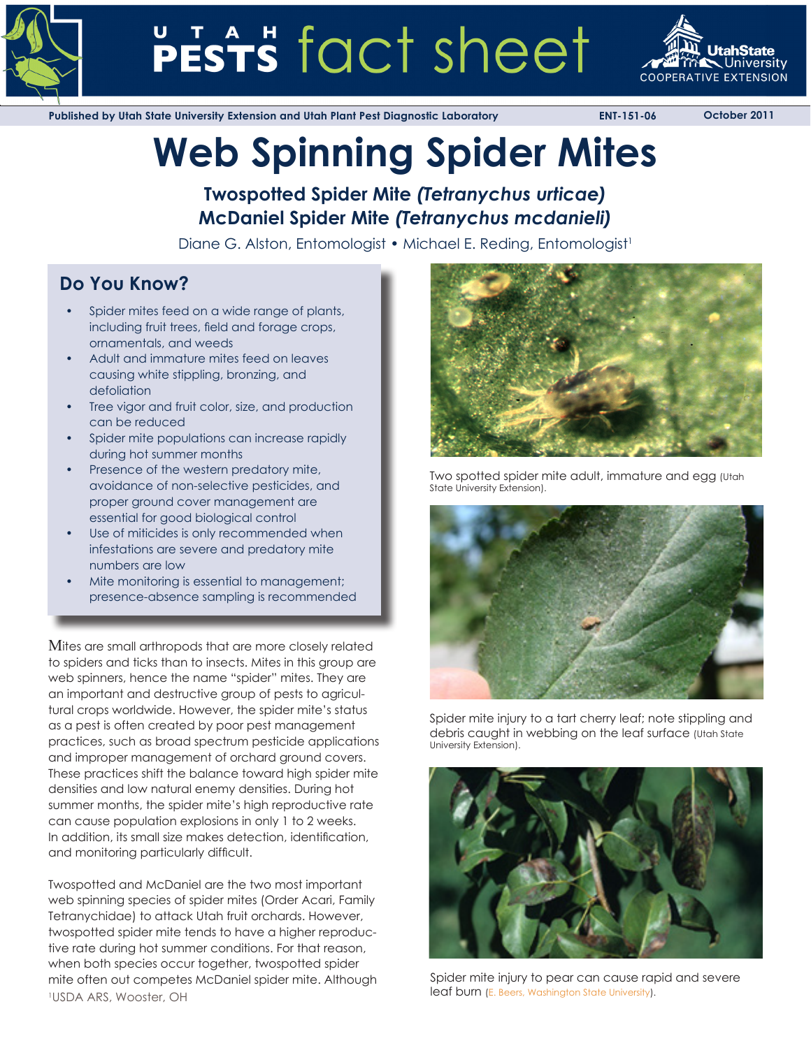

# PESTS fact sheet



**Published by Utah State University Extension and Utah Plant Pest Diagnostic Laboratory ENT-151-06 October 2011**

# **Web Spinning Spider Mites**

# **Twospotted Spider Mite** *(Tetranychus urticae)* **McDaniel Spider Mite** *(Tetranychus mcdanieli)*

Diane G. Alston, Entomologist • Michael E. Reding, Entomologist<sup>1</sup>

# **Do You Know?**

- Spider mites feed on a wide range of plants, including fruit trees, field and forage crops, ornamentals, and weeds
- Adult and immature mites feed on leaves causing white stippling, bronzing, and defoliation
- Tree vigor and fruit color, size, and production can be reduced
- Spider mite populations can increase rapidly during hot summer months
- Presence of the western predatory mite, avoidance of non-selective pesticides, and proper ground cover management are essential for good biological control
- Use of miticides is only recommended when infestations are severe and predatory mite numbers are low
- Mite monitoring is essential to management; presence-absence sampling is recommended

Mites are small arthropods that are more closely related to spiders and ticks than to insects. Mites in this group are web spinners, hence the name "spider" mites. They are an important and destructive group of pests to agricultural crops worldwide. However, the spider mite's status as a pest is often created by poor pest management practices, such as broad spectrum pesticide applications and improper management of orchard ground covers. These practices shift the balance toward high spider mite densities and low natural enemy densities. During hot summer months, the spider mite's high reproductive rate can cause population explosions in only 1 to 2 weeks. In addition, its small size makes detection, identification, and monitoring particularly difficult.

Twospotted and McDaniel are the two most important web spinning species of spider mites (Order Acari, Family Tetranychidae) to attack Utah fruit orchards. However, twospotted spider mite tends to have a higher reproductive rate during hot summer conditions. For that reason, when both species occur together, twospotted spider mite often out competes McDaniel spider mite. Although <sup>1</sup>USDA ARS, Wooster, OH **Example 2018** Number 2016 **1997** Nearly 10 Leaf burn ([E. Beers, Washington State University\)](http://jenny.tfrec.wsu.edu/opm/gallery.php?pn=260).



Two spotted spider mite adult, immature and egg (Utah State University Extension).



Spider mite injury to a tart cherry leaf; note stippling and debris caught in webbing on the leaf surface (Utah State University Extension).



Spider mite injury to pear can cause rapid and severe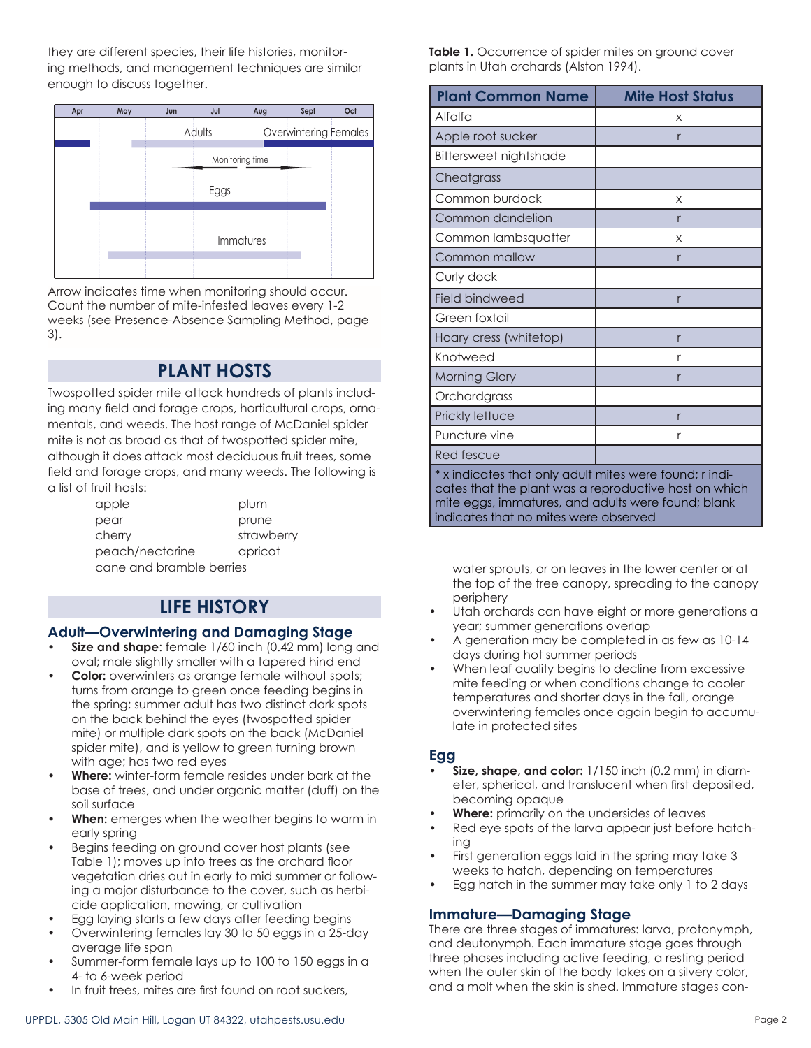they are different species, their life histories, monitoring methods, and management techniques are similar enough to discuss together.



Arrow indicates time when monitoring should occur. Count the number of mite-infested leaves every 1-2 weeks (see Presence-Absence Sampling Method, page 3).

# **PLANT HOSTS**

Twospotted spider mite attack hundreds of plants including many field and forage crops, horticultural crops, ornamentals, and weeds. The host range of McDaniel spider mite is not as broad as that of twospotted spider mite, although it does attack most deciduous fruit trees, some field and forage crops, and many weeds. The following is a list of fruit hosts:

| apple                    | plum       |  |
|--------------------------|------------|--|
| pear                     | prune      |  |
| cherry                   | strawberry |  |
| peach/nectarine          | apricot    |  |
| cane and bramble berries |            |  |

# **LIFE HISTORY**

### **Adult—Overwintering and Damaging Stage**

- **• Size and shape**: female 1/60 inch (0.42 mm) long and oval; male slightly smaller with a tapered hind end
- **• Color:** overwinters as orange female without spots; turns from orange to green once feeding begins in the spring; summer adult has two distinct dark spots on the back behind the eyes (twospotted spider mite) or multiple dark spots on the back (McDaniel spider mite), and is yellow to green turning brown with age; has two red eyes
- **• Where:** winter-form female resides under bark at the base of trees, and under organic matter (duff) on the soil surface
- **When:** emerges when the weather begins to warm in early spring
- Begins feeding on ground cover host plants (see Table 1); moves up into trees as the orchard floor vegetation dries out in early to mid summer or following a major disturbance to the cover, such as herbicide application, mowing, or cultivation
- Egg laying starts a few days after feeding begins
- Overwintering females lay 30 to 50 eggs in a 25-day average life span
- Summer-form female lays up to 100 to 150 eggs in a 4- to 6-week period
- In fruit trees, mites are first found on root suckers,

Table 1. Occurrence of spider mites on ground cover plants in Utah orchards (Alston 1994).

| <b>Plant Common Name</b>                                                                                                                                               | <b>Mite Host Status</b> |  |
|------------------------------------------------------------------------------------------------------------------------------------------------------------------------|-------------------------|--|
| Alfalfa                                                                                                                                                                | X                       |  |
| Apple root sucker                                                                                                                                                      | r                       |  |
| Bittersweet nightshade                                                                                                                                                 |                         |  |
| Cheatgrass                                                                                                                                                             |                         |  |
| Common burdock                                                                                                                                                         | X                       |  |
| Common dandelion                                                                                                                                                       | r                       |  |
| Common lambsquatter                                                                                                                                                    | X                       |  |
| Common mallow                                                                                                                                                          | r                       |  |
| Curly dock                                                                                                                                                             |                         |  |
| <b>Field bindweed</b>                                                                                                                                                  | r                       |  |
| Green foxtail                                                                                                                                                          |                         |  |
| Hoary cress (whitetop)                                                                                                                                                 | r                       |  |
| Knotweed                                                                                                                                                               | r                       |  |
| <b>Morning Glory</b>                                                                                                                                                   | r                       |  |
| Orchardgrass                                                                                                                                                           |                         |  |
| Prickly lettuce                                                                                                                                                        | r                       |  |
| Puncture vine                                                                                                                                                          | r                       |  |
| Red fescue                                                                                                                                                             |                         |  |
| * x indicates that only adult mites were found; r indi-<br>cates that the plant was a reproductive host on which<br>mite eggs, immatures, and adults were found; blank |                         |  |

water sprouts, or on leaves in the lower center or at the top of the tree canopy, spreading to the canopy periphery

Utah orchards can have eight or more generations a year; summer generations overlap

indicates that no mites were observed

- A generation may be completed in as few as 10-14 days during hot summer periods
- When leaf quality begins to decline from excessive mite feeding or when conditions change to cooler temperatures and shorter days in the fall, orange overwintering females once again begin to accumulate in protected sites

# **Egg**

- **• Size, shape, and color:** 1/150 inch (0.2 mm) in diameter, spherical, and translucent when first deposited, becoming opaque
- **Where:** primarily on the undersides of leaves
- Red eye spots of the larva appear just before hatching
- First generation eggs laid in the spring may take 3 weeks to hatch, depending on temperatures
- Egg hatch in the summer may take only 1 to 2 days

# **Immature—Damaging Stage**

There are three stages of immatures: larva, protonymph, and deutonymph. Each immature stage goes through three phases including active feeding, a resting period when the outer skin of the body takes on a silvery color, and a molt when the skin is shed. Immature stages con-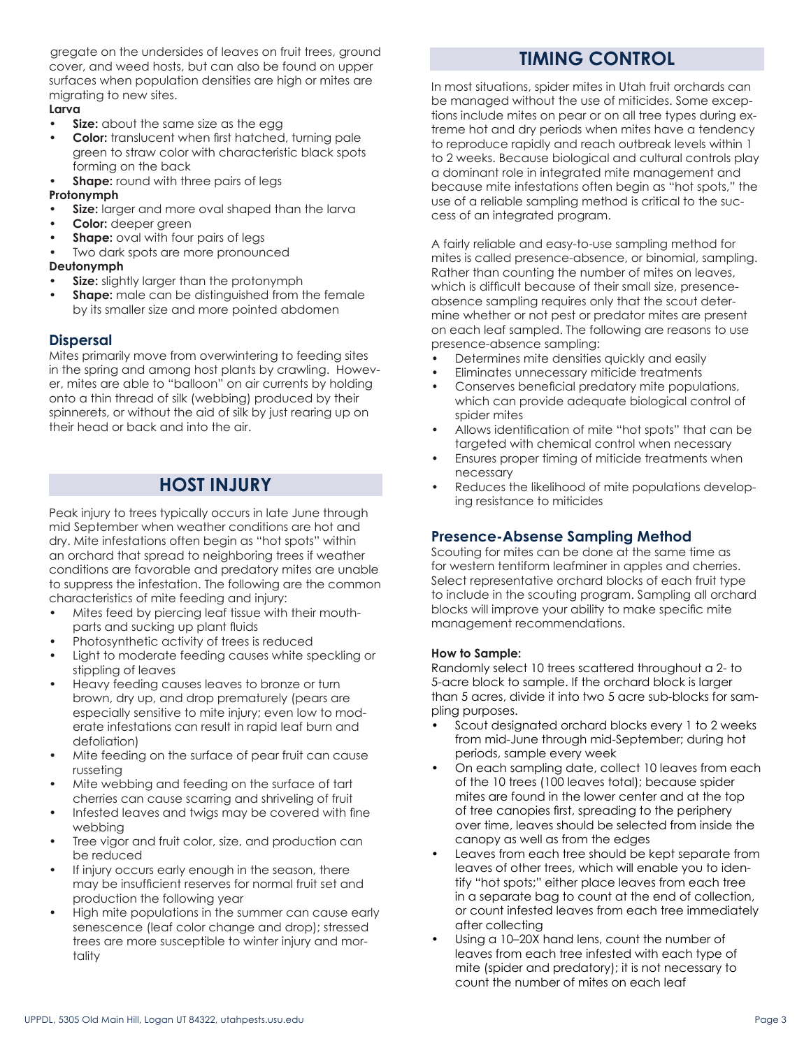gregate on the undersides of leaves on fruit trees, ground cover, and weed hosts, but can also be found on upper surfaces when population densities are high or mites are migrating to new sites.

## **Larva**

- **Size:** about the same size as the egg
- **• Color:** translucent when first hatched, turning pale green to straw color with characteristic black spots forming on the back
- **Shape:** round with three pairs of legs

#### **Protonymph**

- **Size:** larger and more oval shaped than the larva
- **• Color:** deeper green
- **Shape:** oval with four pairs of legs
- Two dark spots are more pronounced

#### **Deutonymph**

- **Size:** slightly larger than the protonymph
- **Shape:** male can be distinguished from the female by its smaller size and more pointed abdomen

### **Dispersal**

Mites primarily move from overwintering to feeding sites in the spring and among host plants by crawling. However, mites are able to "balloon" on air currents by holding onto a thin thread of silk (webbing) produced by their spinnerets, or without the aid of silk by just rearing up on their head or back and into the air.

# **HOST INJURY**

Peak injury to trees typically occurs in late June through mid September when weather conditions are hot and dry. Mite infestations often begin as "hot spots" within an orchard that spread to neighboring trees if weather conditions are favorable and predatory mites are unable to suppress the infestation. The following are the common characteristics of mite feeding and injury:

- Mites feed by piercing leaf tissue with their mouthparts and sucking up plant fluids
- Photosynthetic activity of trees is reduced
- Light to moderate feeding causes white speckling or stippling of leaves
- Heavy feeding causes leaves to bronze or turn brown, dry up, and drop prematurely (pears are especially sensitive to mite injury; even low to moderate infestations can result in rapid leaf burn and defoliation)
- Mite feeding on the surface of pear fruit can cause russeting
- Mite webbing and feeding on the surface of tart cherries can cause scarring and shriveling of fruit
- Infested leaves and twigs may be covered with fine webbing
- Tree vigor and fruit color, size, and production can be reduced
- If injury occurs early enough in the season, there may be insufficient reserves for normal fruit set and production the following year
- High mite populations in the summer can cause early senescence (leaf color change and drop); stressed trees are more susceptible to winter injury and mortality

# **TIMING CONTROL**

In most situations, spider mites in Utah fruit orchards can be managed without the use of miticides. Some exceptions include mites on pear or on all tree types during extreme hot and dry periods when mites have a tendency to reproduce rapidly and reach outbreak levels within 1 to 2 weeks. Because biological and cultural controls play a dominant role in integrated mite management and because mite infestations often begin as "hot spots," the use of a reliable sampling method is critical to the success of an integrated program.

A fairly reliable and easy-to-use sampling method for mites is called presence-absence, or binomial, sampling. Rather than counting the number of mites on leaves, which is difficult because of their small size, presenceabsence sampling requires only that the scout determine whether or not pest or predator mites are present on each leaf sampled. The following are reasons to use presence-absence sampling:

- Determines mite densities quickly and easily
- Eliminates unnecessary miticide treatments
- Conserves beneficial predatory mite populations, which can provide adequate biological control of spider mites
- Allows identification of mite "hot spots" that can be targeted with chemical control when necessary
- Ensures proper timing of miticide treatments when necessary
- Reduces the likelihood of mite populations developing resistance to miticides

### **Presence-Absense Sampling Method**

Scouting for mites can be done at the same time as for western tentiform leafminer in apples and cherries. Select representative orchard blocks of each fruit type to include in the scouting program. Sampling all orchard blocks will improve your ability to make specific mite management recommendations.

#### **How to Sample:**

Randomly select 10 trees scattered throughout a 2- to 5-acre block to sample. If the orchard block is larger than 5 acres, divide it into two 5 acre sub-blocks for sampling purposes.

- Scout designated orchard blocks every 1 to 2 weeks from mid-June through mid-September; during hot periods, sample every week
- On each sampling date, collect 10 leaves from each of the 10 trees (100 leaves total); because spider mites are found in the lower center and at the top of tree canopies first, spreading to the periphery over time, leaves should be selected from inside the canopy as well as from the edges
- Leaves from each tree should be kept separate from leaves of other trees, which will enable you to identify "hot spots;" either place leaves from each tree in a separate bag to count at the end of collection, or count infested leaves from each tree immediately after collecting
- Using a 10–20X hand lens, count the number of leaves from each tree infested with each type of mite (spider and predatory); it is not necessary to count the number of mites on each leaf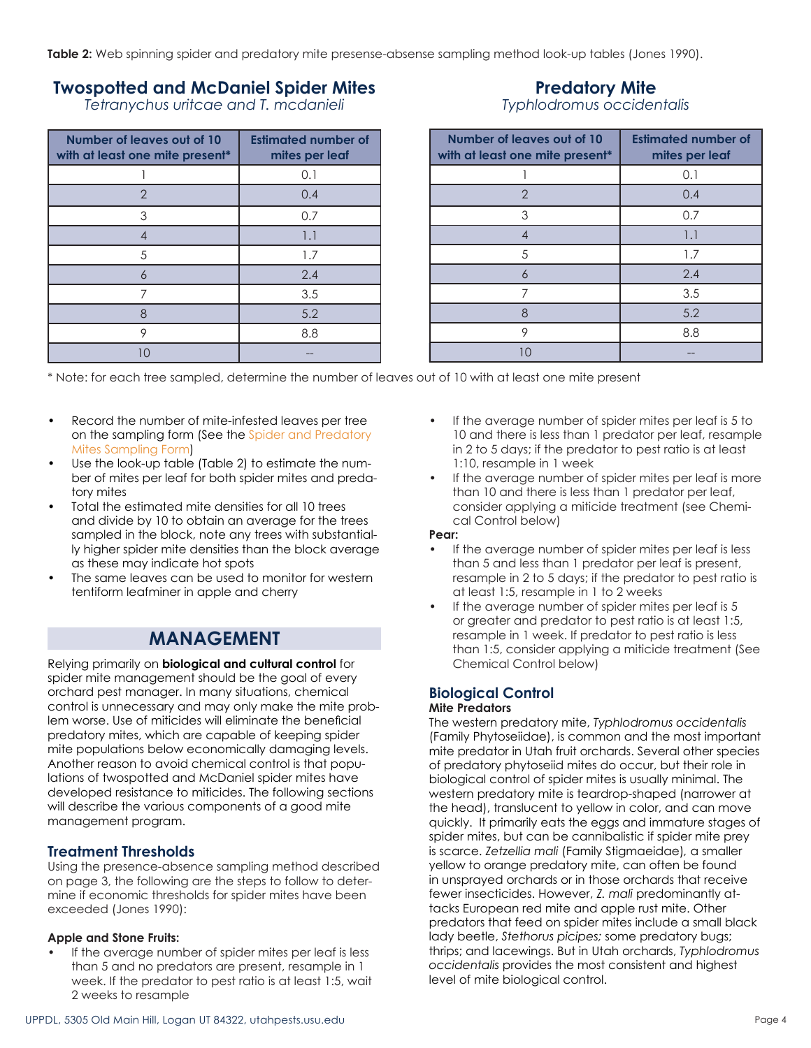**Table 2:** Web spinning spider and predatory mite presense-absense sampling method look-up tables (Jones 1990).

# **Twospotted and McDaniel Spider Mites**

*Tetranychus uritcae and T. mcdanieli*

| Number of leaves out of 10<br>with at least one mite present* | <b>Estimated number of</b><br>mites per leaf |
|---------------------------------------------------------------|----------------------------------------------|
|                                                               | 0.1                                          |
| 2                                                             | 0.4                                          |
| 3                                                             | 0.7                                          |
| 4                                                             | 1.1                                          |
| 5                                                             | 1.7                                          |
| 6                                                             | 2.4                                          |
| 7                                                             | 3.5                                          |
| 8                                                             | 5.2                                          |
| 9                                                             | 8.8                                          |
| $\cdot$ ()                                                    |                                              |

# **Predatory Mite** *Typhlodromus occidentalis*

| Number of leaves out of 10<br>with at least one mite present* | <b>Estimated number of</b><br>mites per leaf |
|---------------------------------------------------------------|----------------------------------------------|
|                                                               | 0.1                                          |
| $\overline{2}$                                                | 0.4                                          |
| 3                                                             | 0.7                                          |
| 4                                                             | 1.1                                          |
| 5                                                             | 1.7                                          |
| 6                                                             | 2.4                                          |
| 7                                                             | 3.5                                          |
| 8                                                             | 5.2                                          |
| 9                                                             | 8.8                                          |
| חו                                                            |                                              |

\* Note: for each tree sampled, determine the number of leaves out of 10 with at least one mite present

- Record the number of mite-infested leaves per tree on the sampling form (See the [Spider and Predatory](http://extension.usu.edu/files/publications/factsheet/sample-mites06.pdf)  [Mites Sampling Form](http://extension.usu.edu/files/publications/factsheet/sample-mites06.pdf))
- Use the look-up table (Table 2) to estimate the number of mites per leaf for both spider mites and predatory mites
- Total the estimated mite densities for all 10 trees and divide by 10 to obtain an average for the trees sampled in the block, note any trees with substantially higher spider mite densities than the block average as these may indicate hot spots
- The same leaves can be used to monitor for western tentiform leafminer in apple and cherry

# **MANAGEMENT**

Relying primarily on **biological and cultural control** for spider mite management should be the goal of every orchard pest manager. In many situations, chemical control is unnecessary and may only make the mite problem worse. Use of miticides will eliminate the beneficial predatory mites, which are capable of keeping spider mite populations below economically damaging levels. Another reason to avoid chemical control is that populations of twospotted and McDaniel spider mites have developed resistance to miticides. The following sections will describe the various components of a good mite management program.

# **Treatment Thresholds**

Using the presence-absence sampling method described on page 3, the following are the steps to follow to determine if economic thresholds for spider mites have been exceeded (Jones 1990):

#### **Apple and Stone Fruits:**

If the average number of spider mites per leaf is less than 5 and no predators are present, resample in 1 week. If the predator to pest ratio is at least 1:5, wait 2 weeks to resample

- If the average number of spider mites per leaf is 5 to 10 and there is less than 1 predator per leaf, resample in 2 to 5 days; if the predator to pest ratio is at least 1:10, resample in 1 week
- If the average number of spider mites per leaf is more than 10 and there is less than 1 predator per leaf, consider applying a miticide treatment (see Chemical Control below)

#### **Pear:**

- If the average number of spider mites per leaf is less than 5 and less than 1 predator per leaf is present, resample in 2 to 5 days; if the predator to pest ratio is at least 1:5, resample in 1 to 2 weeks
- If the average number of spider mites per leaf is 5 or greater and predator to pest ratio is at least 1:5, resample in 1 week. If predator to pest ratio is less than 1:5, consider applying a miticide treatment (See Chemical Control below)

# **Biological Control**

### **Mite Predators**

The western predatory mite, *Typhlodromus occidentalis*  (Family Phytoseiidae), is common and the most important mite predator in Utah fruit orchards. Several other species of predatory phytoseiid mites do occur, but their role in biological control of spider mites is usually minimal. The western predatory mite is teardrop-shaped (narrower at the head), translucent to yellow in color, and can move quickly. It primarily eats the eggs and immature stages of spider mites, but can be cannibalistic if spider mite prey is scarce. *Zetzellia mali* (Family Stigmaeidae)*,* a smaller yellow to orange predatory mite, can often be found in unsprayed orchards or in those orchards that receive fewer insecticides. However, *Z. mali* predominantly attacks European red mite and apple rust mite. Other predators that feed on spider mites include a small black lady beetle, *Stethorus picipes;* some predatory bugs; thrips; and lacewings. But in Utah orchards, *Typhlodromus occidentalis* provides the most consistent and highest level of mite biological control.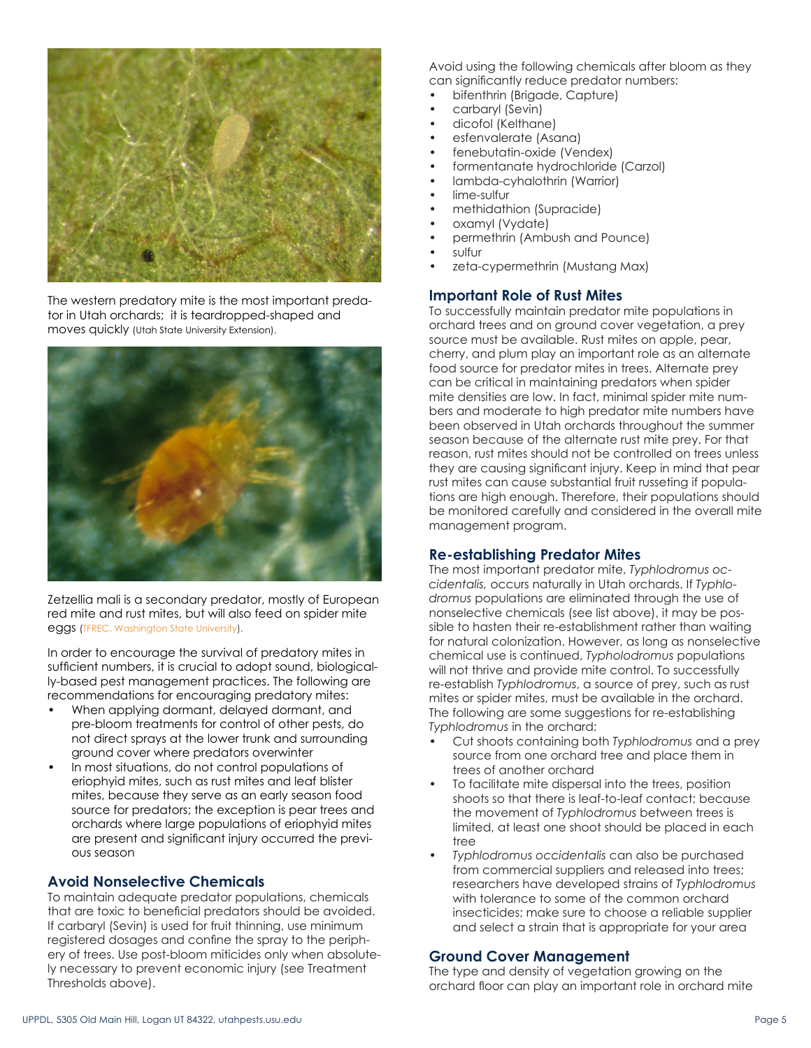

The western predatory mite is the most important predator in Utah orchards; it is teardropped-shaped and moves quickly (Utah State University Extension).



Zetzellia mali is a secondary predator, mostly of European red mite and rust mites, but will also feed on spider mite eggs ([TFREC, Washington State University](http://jenny.tfrec.wsu.edu/opm/displaySpecies.php?pn=850)).

In order to encourage the survival of predatory mites in sufficient numbers, it is crucial to adopt sound, biologically-based pest management practices. The following are recommendations for encouraging predatory mites:

- When applying dormant, delayed dormant, and pre-bloom treatments for control of other pests, do not direct sprays at the lower trunk and surrounding ground cover where predators overwinter
- In most situations, do not control populations of eriophyid mites, such as rust mites and leaf blister mites, because they serve as an early season food source for predators; the exception is pear trees and orchards where large populations of eriophyid mites are present and significant injury occurred the previous season

### **Avoid Nonselective Chemicals**

To maintain adequate predator populations, chemicals that are toxic to beneficial predators should be avoided. If carbaryl (Sevin) is used for fruit thinning, use minimum registered dosages and confine the spray to the periphery of trees. Use post-bloom miticides only when absolutely necessary to prevent economic injury (see Treatment Thresholds above).

Avoid using the following chemicals after bloom as they can significantly reduce predator numbers:

- bifenthrin (Brigade, Capture)
- carbaryl (Sevin)
- dicofol (Kelthane)
- esfenvalerate (Asana)
- fenebutatin-oxide (Vendex)
- formentanate hydrochloride (Carzol)
- lambda-cyhalothrin (Warrior)
- lime-sulfur
- methidathion (Supracide)
- oxamyl (Vydate)
- permethrin (Ambush and Pounce)
- sulfur
- zeta-cypermethrin (Mustang Max)

# **Important Role of Rust Mites**

To successfully maintain predator mite populations in orchard trees and on ground cover vegetation, a prey source must be available. Rust mites on apple, pear, cherry, and plum play an important role as an alternate food source for predator mites in trees. Alternate prey can be critical in maintaining predators when spider mite densities are low. In fact, minimal spider mite numbers and moderate to high predator mite numbers have been observed in Utah orchards throughout the summer season because of the alternate rust mite prey. For that reason, rust mites should not be controlled on trees unless they are causing significant injury. Keep in mind that pear rust mites can cause substantial fruit russeting if populations are high enough. Therefore, their populations should be monitored carefully and considered in the overall mite management program.

# **Re-establishing Predator Mites**

The most important predator mite, *Typhlodromus occidentalis,* occurs naturally in Utah orchards. If *Typhlodromus* populations are eliminated through the use of nonselective chemicals (see list above), it may be possible to hasten their re-establishment rather than waiting for natural colonization. However, as long as nonselective chemical use is continued, *Typholodromus* populations will not thrive and provide mite control. To successfully re-establish *Typhlodromus*, a source of prey, such as rust mites or spider mites, must be available in the orchard. The following are some suggestions for re-establishing *Typhlodromus* in the orchard:

- Cut shoots containing both *Typhlodromus* and a prey source from one orchard tree and place them in trees of another orchard
- To facilitate mite dispersal into the trees, position shoots so that there is leaf-to-leaf contact; because the movement of *Typhlodromus* between trees is limited, at least one shoot should be placed in each tree
- *• Typhlodromus occidentalis* can also be purchased from commercial suppliers and released into trees; researchers have developed strains of *Typhlodromus*  with tolerance to some of the common orchard insecticides; make sure to choose a reliable supplier and select a strain that is appropriate for your area

# **Ground Cover Management**

The type and density of vegetation growing on the orchard floor can play an important role in orchard mite